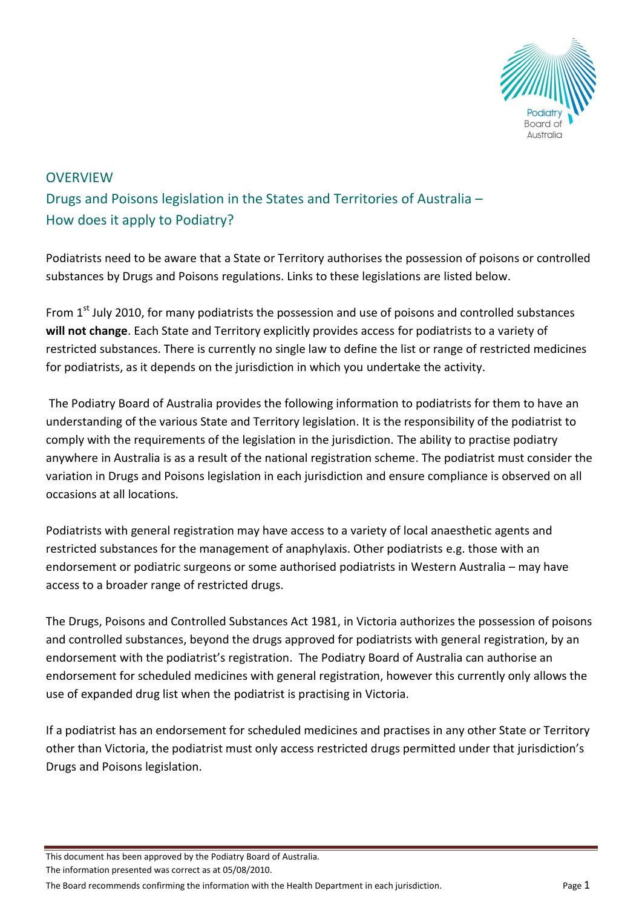

# **OVERVIEW** Drugs and Poisons legislation in the States and Territories of Australia – How does it apply to Podiatry?

Podiatrists need to be aware that a State or Territory authorises the possession of poisons or controlled substances by Drugs and Poisons regulations. Links to these legislations are listed below.

From  $1<sup>st</sup>$  July 2010, for many podiatrists the possession and use of poisons and controlled substances **will not change**. Each State and Territory explicitly provides access for podiatrists to a variety of restricted substances. There is currently no single law to define the list or range of restricted medicines for podiatrists, as it depends on the jurisdiction in which you undertake the activity.

The Podiatry Board of Australia provides the following information to podiatrists for them to have an understanding of the various State and Territory legislation. It is the responsibility of the podiatrist to comply with the requirements of the legislation in the jurisdiction. The ability to practise podiatry anywhere in Australia is as a result of the national registration scheme. The podiatrist must consider the variation in Drugs and Poisons legislation in each jurisdiction and ensure compliance is observed on all occasions at all locations.

Podiatrists with general registration may have access to a variety of local anaesthetic agents and restricted substances for the management of anaphylaxis. Other podiatrists e.g. those with an endorsement or podiatric surgeons or some authorised podiatrists in Western Australia – may have access to a broader range of restricted drugs.

The Drugs, Poisons and Controlled Substances Act 1981, in Victoria authorizes the possession of poisons and controlled substances, beyond the drugs approved for podiatrists with general registration, by an endorsement with the podiatrist's registration. The Podiatry Board of Australia can authorise an endorsement for scheduled medicines with general registration, however this currently only allows the use of expanded drug list when the podiatrist is practising in Victoria.

If a podiatrist has an endorsement for scheduled medicines and practises in any other State or Territory other than Victoria, the podiatrist must only access restricted drugs permitted under that jurisdiction's Drugs and Poisons legislation.

The information presented was correct as at 05/08/2010.

This document has been approved by the Podiatry Board of Australia.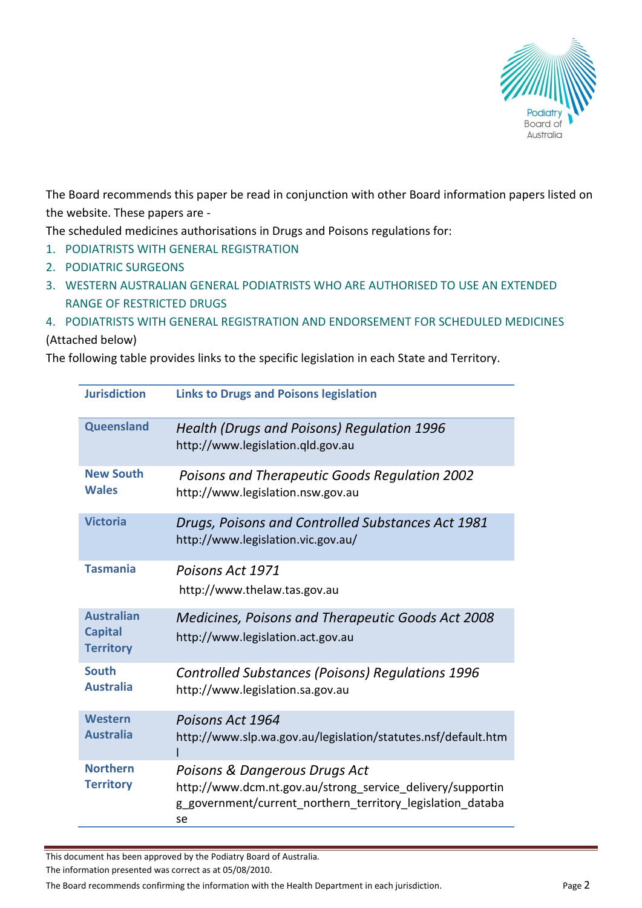

The Board recommends this paper be read in conjunction with other Board information papers listed on the website. These papers are -

The scheduled medicines authorisations in Drugs and Poisons regulations for:

- 1. PODIATRISTS WITH GENERAL REGISTRATION
- 2. PODIATRIC SURGEONS
- 3. WESTERN AUSTRALIAN GENERAL PODIATRISTS WHO ARE AUTHORISED TO USE AN EXTENDED RANGE OF RESTRICTED DRUGS
- 4. PODIATRISTS WITH GENERAL REGISTRATION AND ENDORSEMENT FOR SCHEDULED MEDICINES

#### (Attached below)

The following table provides links to the specific legislation in each State and Territory.

| <b>Jurisdiction</b>                                     | <b>Links to Drugs and Poisons legislation</b>                                                                                                                   |
|---------------------------------------------------------|-----------------------------------------------------------------------------------------------------------------------------------------------------------------|
| Queensland                                              | Health (Drugs and Poisons) Regulation 1996<br>http://www.legislation.qld.gov.au                                                                                 |
| <b>New South</b><br><b>Wales</b>                        | Poisons and Therapeutic Goods Regulation 2002<br>http://www.legislation.nsw.gov.au                                                                              |
| <b>Victoria</b>                                         | Drugs, Poisons and Controlled Substances Act 1981<br>http://www.legislation.vic.gov.au/                                                                         |
| <b>Tasmania</b>                                         | Poisons Act 1971<br>http://www.thelaw.tas.gov.au                                                                                                                |
| <b>Australian</b><br><b>Capital</b><br><b>Territory</b> | Medicines, Poisons and Therapeutic Goods Act 2008<br>http://www.legislation.act.gov.au                                                                          |
| <b>South</b><br><b>Australia</b>                        | <b>Controlled Substances (Poisons) Regulations 1996</b><br>http://www.legislation.sa.gov.au                                                                     |
| <b>Western</b><br><b>Australia</b>                      | Poisons Act 1964<br>http://www.slp.wa.gov.au/legislation/statutes.nsf/default.htm                                                                               |
| <b>Northern</b><br><b>Territory</b>                     | Poisons & Dangerous Drugs Act<br>http://www.dcm.nt.gov.au/strong_service_delivery/supportin<br>g government/current northern territory legislation databa<br>se |

This document has been approved by the Podiatry Board of Australia.

The information presented was correct as at 05/08/2010.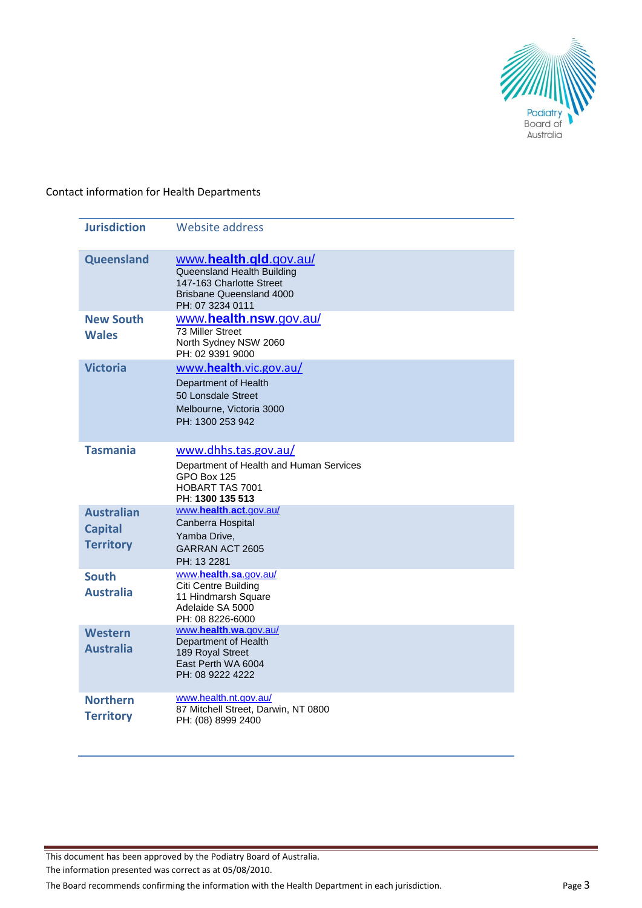

#### Contact information for Health Departments

| <b>Jurisdiction</b>                                     | <b>Website address</b>                                                                                                           |
|---------------------------------------------------------|----------------------------------------------------------------------------------------------------------------------------------|
| Queensland                                              | www.health.qld.gov.au/<br>Queensland Health Building<br>147-163 Charlotte Street<br>Brisbane Queensland 4000<br>PH: 07 3234 0111 |
| <b>New South</b><br><b>Wales</b>                        | www.health.nsw.gov.au/<br>73 Miller Street<br>North Sydney NSW 2060<br>PH: 02 9391 9000                                          |
| <b>Victoria</b>                                         | www.health.vic.gov.au/<br>Department of Health<br>50 Lonsdale Street<br>Melbourne, Victoria 3000<br>PH: 1300 253 942             |
| <b>Tasmania</b>                                         | www.dhhs.tas.gov.au/<br>Department of Health and Human Services<br>GPO Box 125<br>HOBART TAS 7001<br>PH: 1300 135 513            |
| <b>Australian</b><br><b>Capital</b><br><b>Territory</b> | www.health.act.gov.au/<br>Canberra Hospital<br>Yamba Drive,<br>GARRAN ACT 2605<br>PH: 13 2281                                    |
| <b>South</b><br><b>Australia</b>                        | www.health.sa.gov.au/<br>Citi Centre Building<br>11 Hindmarsh Square<br>Adelaide SA 5000<br>PH: 08 8226-6000                     |
| <b>Western</b><br><b>Australia</b>                      | www.health.wa.gov.au/<br>Department of Health<br>189 Royal Street<br>East Perth WA 6004<br>PH: 08 9222 4222                      |
| <b>Northern</b><br><b>Territory</b>                     | www.health.nt.gov.au/<br>87 Mitchell Street, Darwin, NT 0800<br>PH: (08) 8999 2400                                               |

This document has been approved by the Podiatry Board of Australia.

The information presented was correct as at 05/08/2010.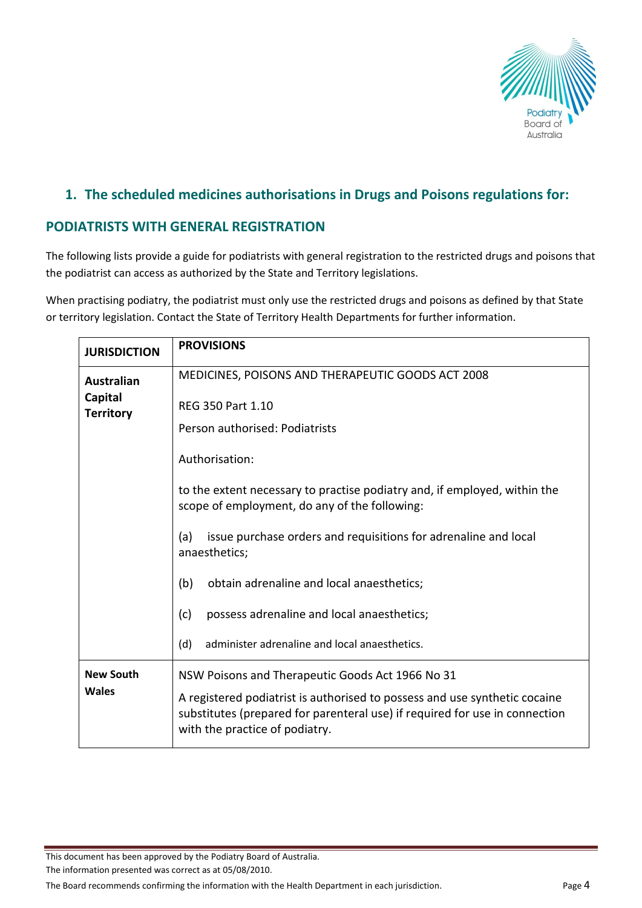

### **1. The scheduled medicines authorisations in Drugs and Poisons regulations for:**

### **PODIATRISTS WITH GENERAL REGISTRATION**

The following lists provide a guide for podiatrists with general registration to the restricted drugs and poisons that the podiatrist can access as authorized by the State and Territory legislations.

When practising podiatry, the podiatrist must only use the restricted drugs and poisons as defined by that State or territory legislation. Contact the State of Territory Health Departments for further information.

| <b>JURISDICTION</b>         | <b>PROVISIONS</b>                                                                                                                                                                           |  |  |
|-----------------------------|---------------------------------------------------------------------------------------------------------------------------------------------------------------------------------------------|--|--|
| <b>Australian</b>           | MEDICINES, POISONS AND THERAPEUTIC GOODS ACT 2008                                                                                                                                           |  |  |
| Capital<br><b>Territory</b> | <b>REG 350 Part 1.10</b>                                                                                                                                                                    |  |  |
|                             | Person authorised: Podiatrists                                                                                                                                                              |  |  |
|                             | Authorisation:                                                                                                                                                                              |  |  |
|                             | to the extent necessary to practise podiatry and, if employed, within the<br>scope of employment, do any of the following:                                                                  |  |  |
|                             | issue purchase orders and requisitions for adrenaline and local<br>(a)<br>anaesthetics;                                                                                                     |  |  |
|                             | (b)<br>obtain adrenaline and local anaesthetics;                                                                                                                                            |  |  |
|                             | possess adrenaline and local anaesthetics;<br>(c)                                                                                                                                           |  |  |
|                             | administer adrenaline and local anaesthetics.<br>(d)                                                                                                                                        |  |  |
| <b>New South</b>            | NSW Poisons and Therapeutic Goods Act 1966 No 31                                                                                                                                            |  |  |
| <b>Wales</b>                | A registered podiatrist is authorised to possess and use synthetic cocaine<br>substitutes (prepared for parenteral use) if required for use in connection<br>with the practice of podiatry. |  |  |

This document has been approved by the Podiatry Board of Australia.

The information presented was correct as at 05/08/2010.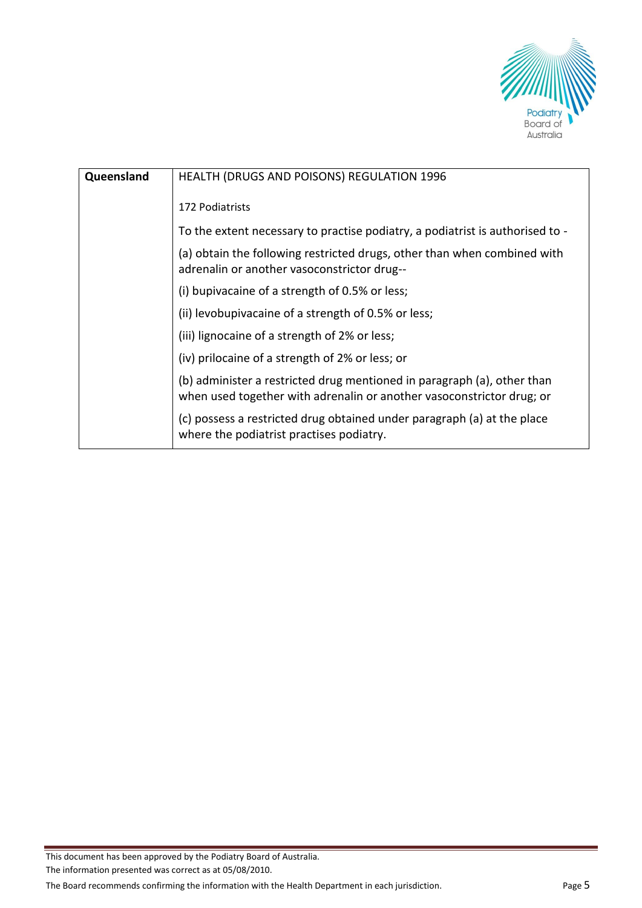

| Queensland | <b>HEALTH (DRUGS AND POISONS) REGULATION 1996</b>                                                                                                |
|------------|--------------------------------------------------------------------------------------------------------------------------------------------------|
|            | 172 Podiatrists                                                                                                                                  |
|            | To the extent necessary to practise podiatry, a podiatrist is authorised to -                                                                    |
|            | (a) obtain the following restricted drugs, other than when combined with<br>adrenalin or another vasoconstrictor drug--                          |
|            | (i) bupivacaine of a strength of 0.5% or less;                                                                                                   |
|            | (ii) levobupivacaine of a strength of 0.5% or less;                                                                                              |
|            | (iii) lignocaine of a strength of 2% or less;                                                                                                    |
|            | (iv) prilocaine of a strength of 2% or less; or                                                                                                  |
|            | (b) administer a restricted drug mentioned in paragraph (a), other than<br>when used together with adrenalin or another vasoconstrictor drug; or |
|            | (c) possess a restricted drug obtained under paragraph (a) at the place<br>where the podiatrist practises podiatry.                              |

The information presented was correct as at 05/08/2010.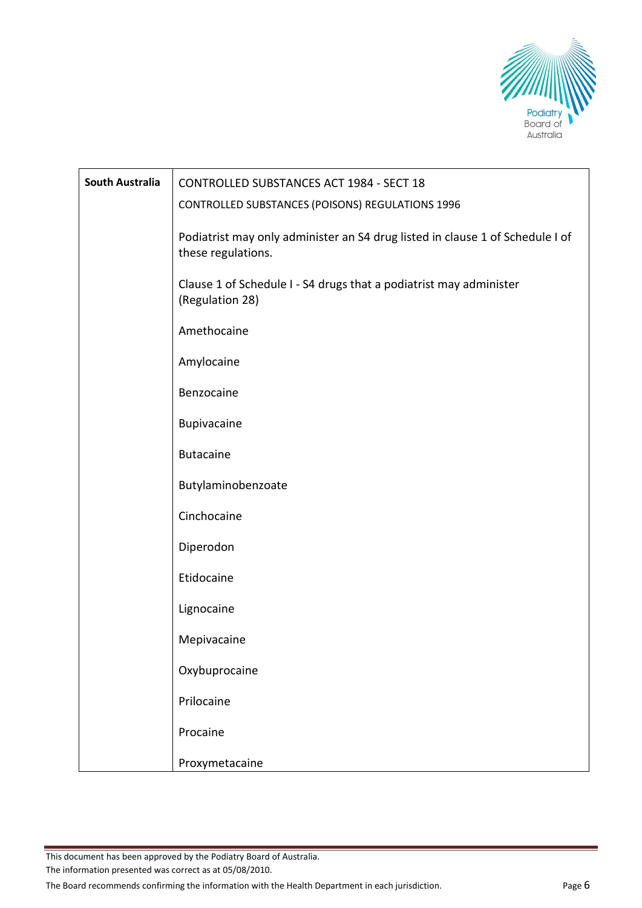

| <b>South Australia</b> | CONTROLLED SUBSTANCES ACT 1984 - SECT 18                                                            |
|------------------------|-----------------------------------------------------------------------------------------------------|
|                        | <b>CONTROLLED SUBSTANCES (POISONS) REGULATIONS 1996</b>                                             |
|                        | Podiatrist may only administer an S4 drug listed in clause 1 of Schedule I of<br>these regulations. |
|                        | Clause 1 of Schedule I - S4 drugs that a podiatrist may administer<br>(Regulation 28)               |
|                        | Amethocaine                                                                                         |
|                        | Amylocaine                                                                                          |
|                        | Benzocaine                                                                                          |
|                        | Bupivacaine                                                                                         |
|                        | <b>Butacaine</b>                                                                                    |
|                        | Butylaminobenzoate                                                                                  |
|                        | Cinchocaine                                                                                         |
|                        | Diperodon                                                                                           |
|                        | Etidocaine                                                                                          |
|                        | Lignocaine                                                                                          |
|                        | Mepivacaine                                                                                         |
|                        | Oxybuprocaine                                                                                       |
|                        | Prilocaine                                                                                          |
|                        | Procaine                                                                                            |
|                        | Proxymetacaine                                                                                      |

The information presented was correct as at 05/08/2010.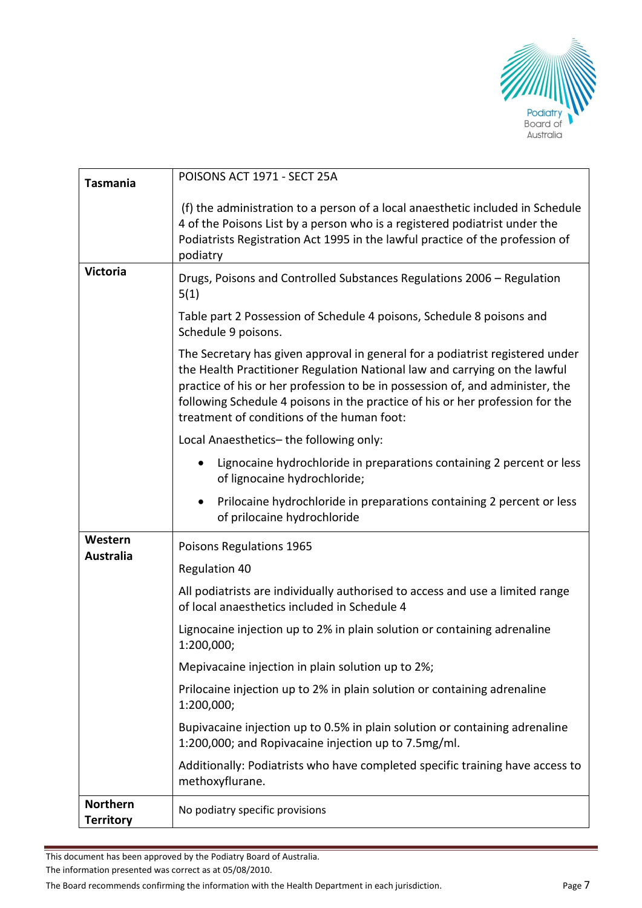

| <b>Tasmania</b>                     | POISONS ACT 1971 - SECT 25A                                                                                                                                                                                                                                                                                                                                                 |
|-------------------------------------|-----------------------------------------------------------------------------------------------------------------------------------------------------------------------------------------------------------------------------------------------------------------------------------------------------------------------------------------------------------------------------|
|                                     | (f) the administration to a person of a local anaesthetic included in Schedule<br>4 of the Poisons List by a person who is a registered podiatrist under the<br>Podiatrists Registration Act 1995 in the lawful practice of the profession of<br>podiatry                                                                                                                   |
| <b>Victoria</b>                     | Drugs, Poisons and Controlled Substances Regulations 2006 - Regulation<br>5(1)                                                                                                                                                                                                                                                                                              |
|                                     | Table part 2 Possession of Schedule 4 poisons, Schedule 8 poisons and<br>Schedule 9 poisons.                                                                                                                                                                                                                                                                                |
|                                     | The Secretary has given approval in general for a podiatrist registered under<br>the Health Practitioner Regulation National law and carrying on the lawful<br>practice of his or her profession to be in possession of, and administer, the<br>following Schedule 4 poisons in the practice of his or her profession for the<br>treatment of conditions of the human foot: |
|                                     | Local Anaesthetics-the following only:                                                                                                                                                                                                                                                                                                                                      |
|                                     | Lignocaine hydrochloride in preparations containing 2 percent or less<br>of lignocaine hydrochloride;                                                                                                                                                                                                                                                                       |
|                                     | Prilocaine hydrochloride in preparations containing 2 percent or less<br>of prilocaine hydrochloride                                                                                                                                                                                                                                                                        |
| Western                             | Poisons Regulations 1965                                                                                                                                                                                                                                                                                                                                                    |
| <b>Australia</b>                    | <b>Regulation 40</b>                                                                                                                                                                                                                                                                                                                                                        |
|                                     | All podiatrists are individually authorised to access and use a limited range<br>of local anaesthetics included in Schedule 4                                                                                                                                                                                                                                               |
|                                     | Lignocaine injection up to 2% in plain solution or containing adrenaline<br>1:200,000;                                                                                                                                                                                                                                                                                      |
|                                     | Mepivacaine injection in plain solution up to 2%;                                                                                                                                                                                                                                                                                                                           |
|                                     | Prilocaine injection up to 2% in plain solution or containing adrenaline<br>1:200,000;                                                                                                                                                                                                                                                                                      |
|                                     | Bupivacaine injection up to 0.5% in plain solution or containing adrenaline<br>1:200,000; and Ropivacaine injection up to 7.5mg/ml.                                                                                                                                                                                                                                         |
|                                     | Additionally: Podiatrists who have completed specific training have access to<br>methoxyflurane.                                                                                                                                                                                                                                                                            |
| <b>Northern</b><br><b>Territory</b> | No podiatry specific provisions                                                                                                                                                                                                                                                                                                                                             |

The information presented was correct as at 05/08/2010.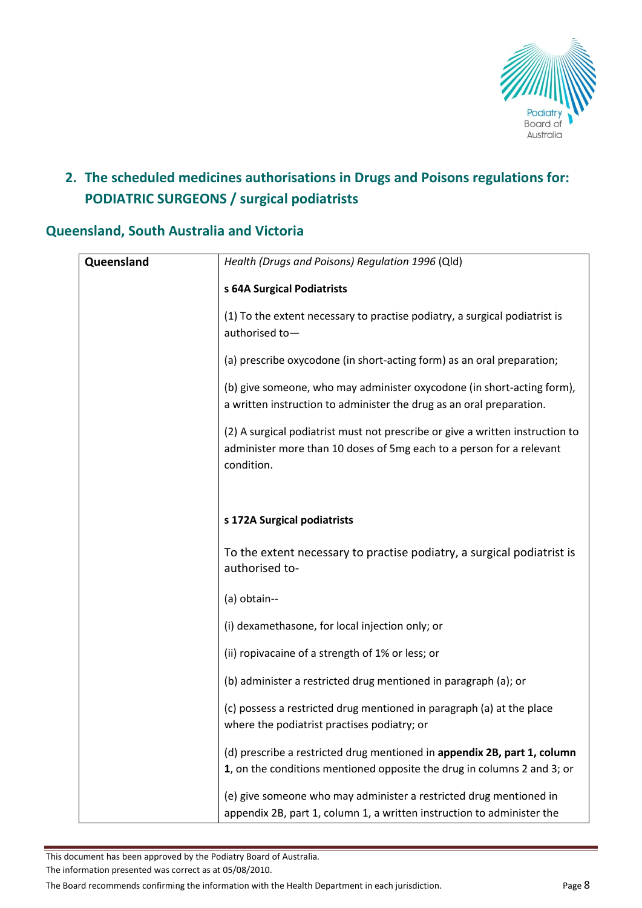

# **2. The scheduled medicines authorisations in Drugs and Poisons regulations for: PODIATRIC SURGEONS / surgical podiatrists**

### **Queensland, South Australia and Victoria**

| Queensland | Health (Drugs and Poisons) Regulation 1996 (Qld)                              |
|------------|-------------------------------------------------------------------------------|
|            |                                                                               |
|            | s 64A Surgical Podiatrists                                                    |
|            | (1) To the extent necessary to practise podiatry, a surgical podiatrist is    |
|            | authorised to-                                                                |
|            |                                                                               |
|            | (a) prescribe oxycodone (in short-acting form) as an oral preparation;        |
|            | (b) give someone, who may administer oxycodone (in short-acting form),        |
|            | a written instruction to administer the drug as an oral preparation.          |
|            | (2) A surgical podiatrist must not prescribe or give a written instruction to |
|            | administer more than 10 doses of 5mg each to a person for a relevant          |
|            | condition.                                                                    |
|            |                                                                               |
|            |                                                                               |
|            | s 172A Surgical podiatrists                                                   |
|            |                                                                               |
|            | To the extent necessary to practise podiatry, a surgical podiatrist is        |
|            | authorised to-                                                                |
|            | (a) obtain--                                                                  |
|            |                                                                               |
|            | (i) dexamethasone, for local injection only; or                               |
|            | (ii) ropivacaine of a strength of 1% or less; or                              |
|            |                                                                               |
|            | (b) administer a restricted drug mentioned in paragraph (a); or               |
|            | (c) possess a restricted drug mentioned in paragraph (a) at the place         |
|            | where the podiatrist practises podiatry; or                                   |
|            | (d) prescribe a restricted drug mentioned in appendix 2B, part 1, column      |
|            | 1, on the conditions mentioned opposite the drug in columns 2 and 3; or       |
|            |                                                                               |
|            | (e) give someone who may administer a restricted drug mentioned in            |
|            | appendix 2B, part 1, column 1, a written instruction to administer the        |

This document has been approved by the Podiatry Board of Australia.

The information presented was correct as at 05/08/2010.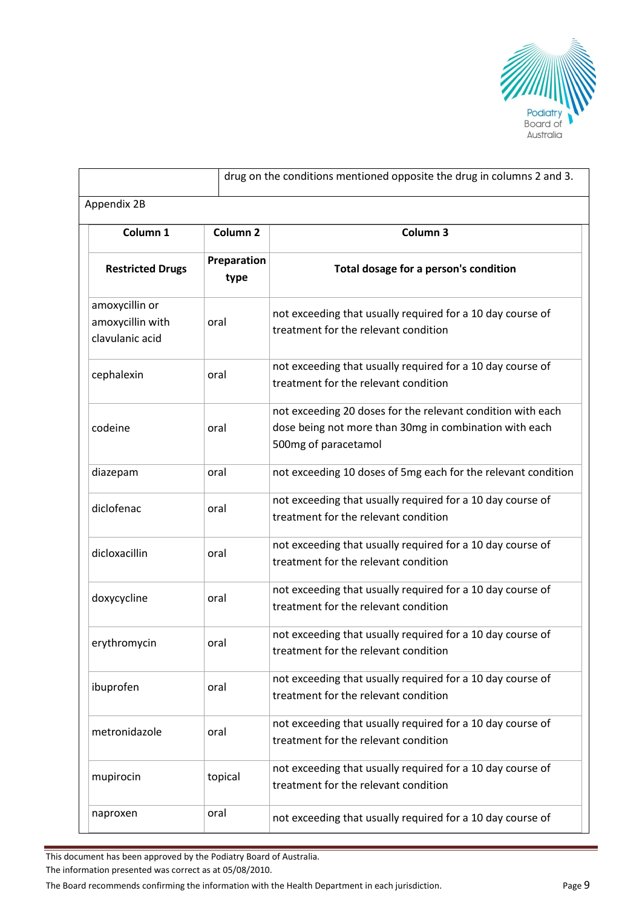

|                                                       |                     | drug on the conditions mentioned opposite the drug in columns 2 and 3.                                                                        |
|-------------------------------------------------------|---------------------|-----------------------------------------------------------------------------------------------------------------------------------------------|
| Appendix 2B                                           |                     |                                                                                                                                               |
| Column 1                                              | Column <sub>2</sub> | Column 3                                                                                                                                      |
| <b>Restricted Drugs</b>                               | Preparation<br>type | Total dosage for a person's condition                                                                                                         |
| amoxycillin or<br>amoxycillin with<br>clavulanic acid | oral                | not exceeding that usually required for a 10 day course of<br>treatment for the relevant condition                                            |
| cephalexin                                            | oral                | not exceeding that usually required for a 10 day course of<br>treatment for the relevant condition                                            |
| codeine                                               | oral                | not exceeding 20 doses for the relevant condition with each<br>dose being not more than 30mg in combination with each<br>500mg of paracetamol |
| diazepam                                              | oral                | not exceeding 10 doses of 5mg each for the relevant condition                                                                                 |
| diclofenac                                            | oral                | not exceeding that usually required for a 10 day course of<br>treatment for the relevant condition                                            |
| dicloxacillin                                         | oral                | not exceeding that usually required for a 10 day course of<br>treatment for the relevant condition                                            |
| doxycycline                                           | oral                | not exceeding that usually required for a 10 day course of<br>treatment for the relevant condition                                            |
| erythromycin                                          | oral                | not exceeding that usually required for a 10 day course of<br>treatment for the relevant condition                                            |
| ibuprofen                                             | oral                | not exceeding that usually required for a 10 day course of<br>treatment for the relevant condition                                            |
| metronidazole                                         | oral                | not exceeding that usually required for a 10 day course of<br>treatment for the relevant condition                                            |
| mupirocin                                             | topical             | not exceeding that usually required for a 10 day course of<br>treatment for the relevant condition                                            |
| naproxen                                              | oral                | not exceeding that usually required for a 10 day course of                                                                                    |

The information presented was correct as at 05/08/2010.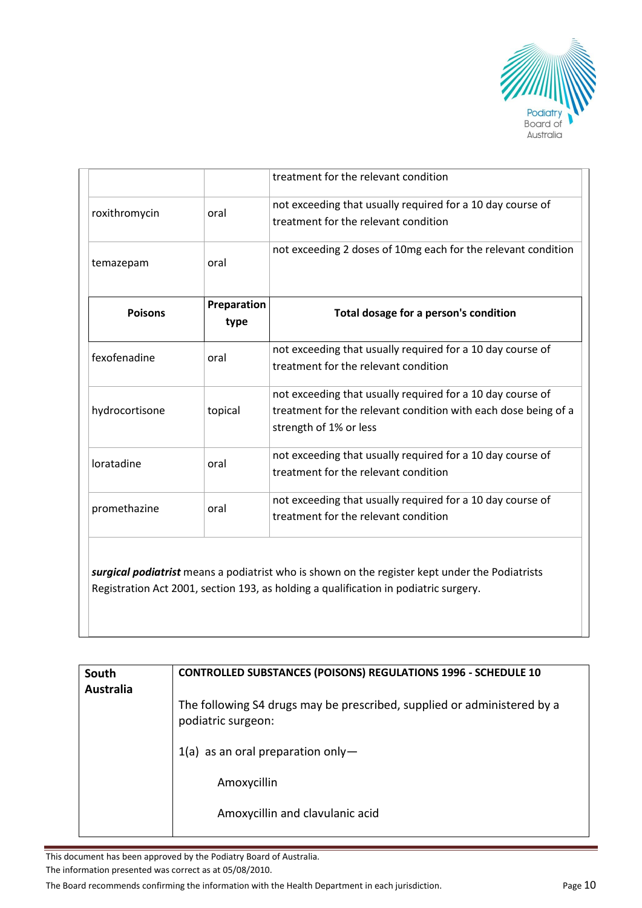

|                |                     | treatment for the relevant condition                                                                                                                   |
|----------------|---------------------|--------------------------------------------------------------------------------------------------------------------------------------------------------|
| roxithromycin  | oral                | not exceeding that usually required for a 10 day course of<br>treatment for the relevant condition                                                     |
| temazepam      | oral                | not exceeding 2 doses of 10mg each for the relevant condition                                                                                          |
| <b>Poisons</b> | Preparation<br>type | Total dosage for a person's condition                                                                                                                  |
| fexofenadine   | oral                | not exceeding that usually required for a 10 day course of<br>treatment for the relevant condition                                                     |
| hydrocortisone | topical             | not exceeding that usually required for a 10 day course of<br>treatment for the relevant condition with each dose being of a<br>strength of 1% or less |
| loratadine     | oral                | not exceeding that usually required for a 10 day course of<br>treatment for the relevant condition                                                     |
|                |                     | not exceeding that usually required for a 10 day course of                                                                                             |

*surgical podiatrist* means a podiatrist who is shown on the register kept under the Podiatrists Registration Act 2001, section 193, as holding a qualification in podiatric surgery.

| South<br><b>Australia</b> | <b>CONTROLLED SUBSTANCES (POISONS) REGULATIONS 1996 - SCHEDULE 10</b>                         |  |
|---------------------------|-----------------------------------------------------------------------------------------------|--|
|                           | The following S4 drugs may be prescribed, supplied or administered by a<br>podiatric surgeon: |  |
|                           | $1(a)$ as an oral preparation only —                                                          |  |
|                           | Amoxycillin                                                                                   |  |
|                           | Amoxycillin and clavulanic acid                                                               |  |

This document has been approved by the Podiatry Board of Australia.

The information presented was correct as at 05/08/2010.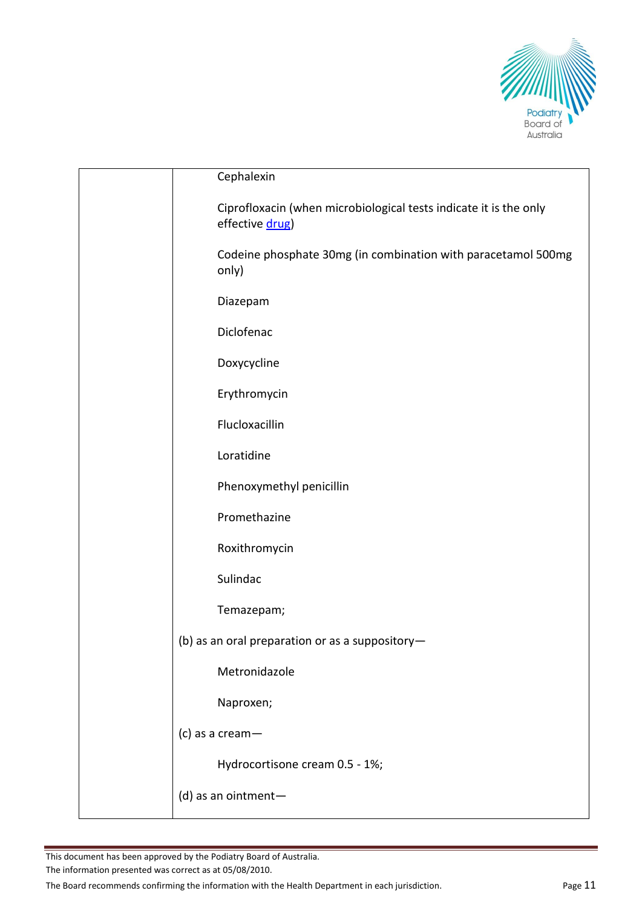

| Cephalexin                                                                           |
|--------------------------------------------------------------------------------------|
| Ciprofloxacin (when microbiological tests indicate it is the only<br>effective drug) |
| Codeine phosphate 30mg (in combination with paracetamol 500mg<br>only)               |
| Diazepam                                                                             |
| Diclofenac                                                                           |
| Doxycycline                                                                          |
| Erythromycin                                                                         |
| Flucloxacillin                                                                       |
| Loratidine                                                                           |
| Phenoxymethyl penicillin                                                             |
| Promethazine                                                                         |
| Roxithromycin                                                                        |
| Sulindac                                                                             |
| Temazepam;                                                                           |
| (b) as an oral preparation or as a suppository-                                      |
| Metronidazole                                                                        |
| Naproxen;                                                                            |
| (c) as a cream $-$                                                                   |
| Hydrocortisone cream 0.5 - 1%;                                                       |
| (d) as an ointment-                                                                  |
|                                                                                      |

The information presented was correct as at 05/08/2010.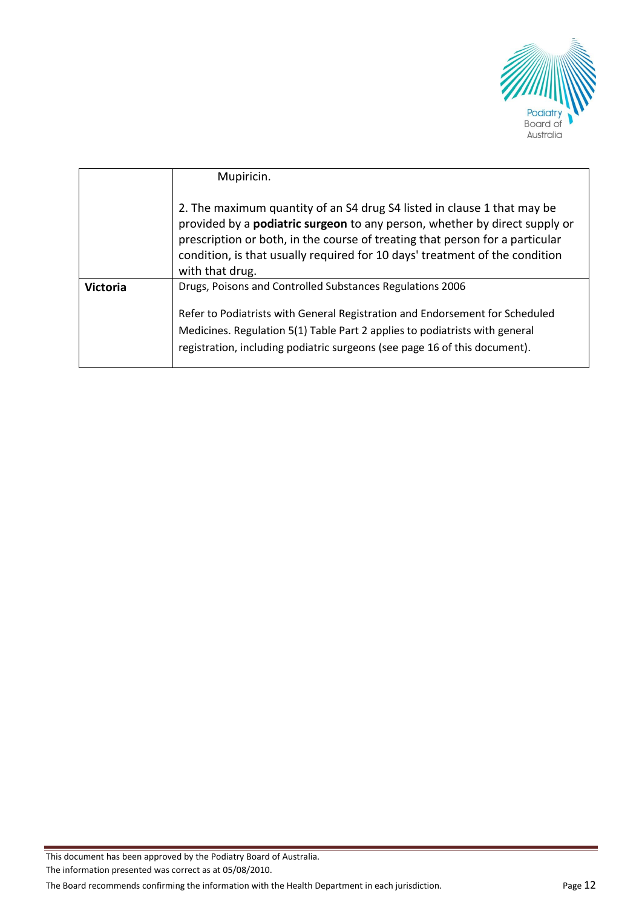

|                 | Mupiricin.                                                                                                                                                                                                                                                                                                                                     |
|-----------------|------------------------------------------------------------------------------------------------------------------------------------------------------------------------------------------------------------------------------------------------------------------------------------------------------------------------------------------------|
|                 | 2. The maximum quantity of an S4 drug S4 listed in clause 1 that may be<br>provided by a <b>podiatric surgeon</b> to any person, whether by direct supply or<br>prescription or both, in the course of treating that person for a particular<br>condition, is that usually required for 10 days' treatment of the condition<br>with that drug. |
| <b>Victoria</b> | Drugs, Poisons and Controlled Substances Regulations 2006<br>Refer to Podiatrists with General Registration and Endorsement for Scheduled<br>Medicines. Regulation 5(1) Table Part 2 applies to podiatrists with general<br>registration, including podiatric surgeons (see page 16 of this document).                                         |

The information presented was correct as at 05/08/2010.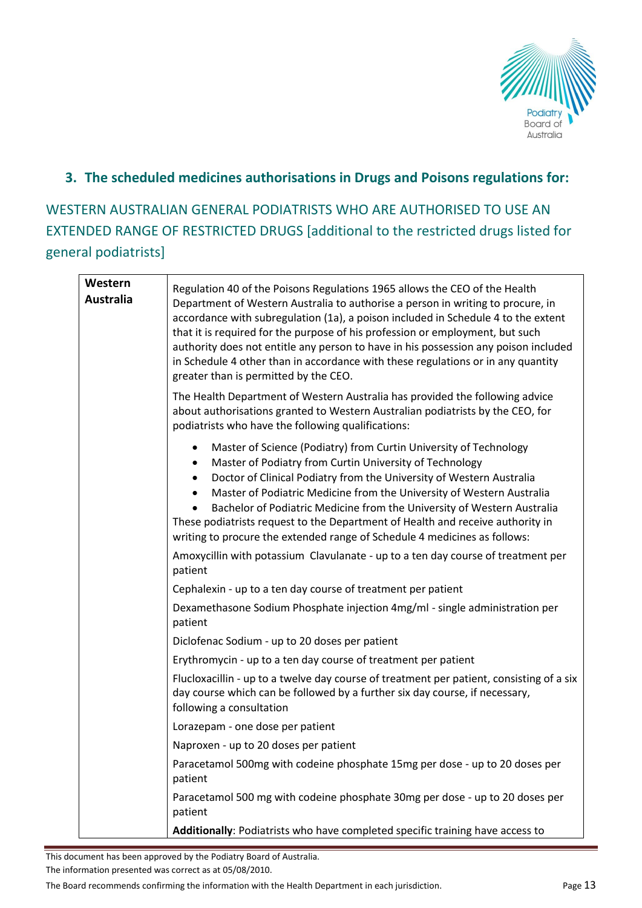

### **3. The scheduled medicines authorisations in Drugs and Poisons regulations for:**

WESTERN AUSTRALIAN GENERAL PODIATRISTS WHO ARE AUTHORISED TO USE AN EXTENDED RANGE OF RESTRICTED DRUGS [additional to the restricted drugs listed for general podiatrists]

| Western<br><b>Australia</b> | Regulation 40 of the Poisons Regulations 1965 allows the CEO of the Health<br>Department of Western Australia to authorise a person in writing to procure, in<br>accordance with subregulation (1a), a poison included in Schedule 4 to the extent<br>that it is required for the purpose of his profession or employment, but such<br>authority does not entitle any person to have in his possession any poison included<br>in Schedule 4 other than in accordance with these regulations or in any quantity<br>greater than is permitted by the CEO. |
|-----------------------------|---------------------------------------------------------------------------------------------------------------------------------------------------------------------------------------------------------------------------------------------------------------------------------------------------------------------------------------------------------------------------------------------------------------------------------------------------------------------------------------------------------------------------------------------------------|
|                             | The Health Department of Western Australia has provided the following advice<br>about authorisations granted to Western Australian podiatrists by the CEO, for<br>podiatrists who have the following qualifications:                                                                                                                                                                                                                                                                                                                                    |
|                             | Master of Science (Podiatry) from Curtin University of Technology<br>٠<br>Master of Podiatry from Curtin University of Technology<br>Doctor of Clinical Podiatry from the University of Western Australia<br>Master of Podiatric Medicine from the University of Western Australia<br>Bachelor of Podiatric Medicine from the University of Western Australia<br>These podiatrists request to the Department of Health and receive authority in<br>writing to procure the extended range of Schedule 4 medicines as follows:                            |
|                             | Amoxycillin with potassium Clavulanate - up to a ten day course of treatment per<br>patient                                                                                                                                                                                                                                                                                                                                                                                                                                                             |
|                             | Cephalexin - up to a ten day course of treatment per patient                                                                                                                                                                                                                                                                                                                                                                                                                                                                                            |
|                             | Dexamethasone Sodium Phosphate injection 4mg/ml - single administration per<br>patient                                                                                                                                                                                                                                                                                                                                                                                                                                                                  |
|                             | Diclofenac Sodium - up to 20 doses per patient                                                                                                                                                                                                                                                                                                                                                                                                                                                                                                          |
|                             | Erythromycin - up to a ten day course of treatment per patient                                                                                                                                                                                                                                                                                                                                                                                                                                                                                          |
|                             | Flucloxacillin - up to a twelve day course of treatment per patient, consisting of a six<br>day course which can be followed by a further six day course, if necessary,<br>following a consultation                                                                                                                                                                                                                                                                                                                                                     |
|                             | Lorazepam - one dose per patient                                                                                                                                                                                                                                                                                                                                                                                                                                                                                                                        |
|                             | Naproxen - up to 20 doses per patient                                                                                                                                                                                                                                                                                                                                                                                                                                                                                                                   |
|                             | Paracetamol 500mg with codeine phosphate 15mg per dose - up to 20 doses per<br>patient                                                                                                                                                                                                                                                                                                                                                                                                                                                                  |
|                             | Paracetamol 500 mg with codeine phosphate 30mg per dose - up to 20 doses per<br>patient                                                                                                                                                                                                                                                                                                                                                                                                                                                                 |
|                             | Additionally: Podiatrists who have completed specific training have access to                                                                                                                                                                                                                                                                                                                                                                                                                                                                           |

This document has been approved by the Podiatry Board of Australia.

The information presented was correct as at 05/08/2010.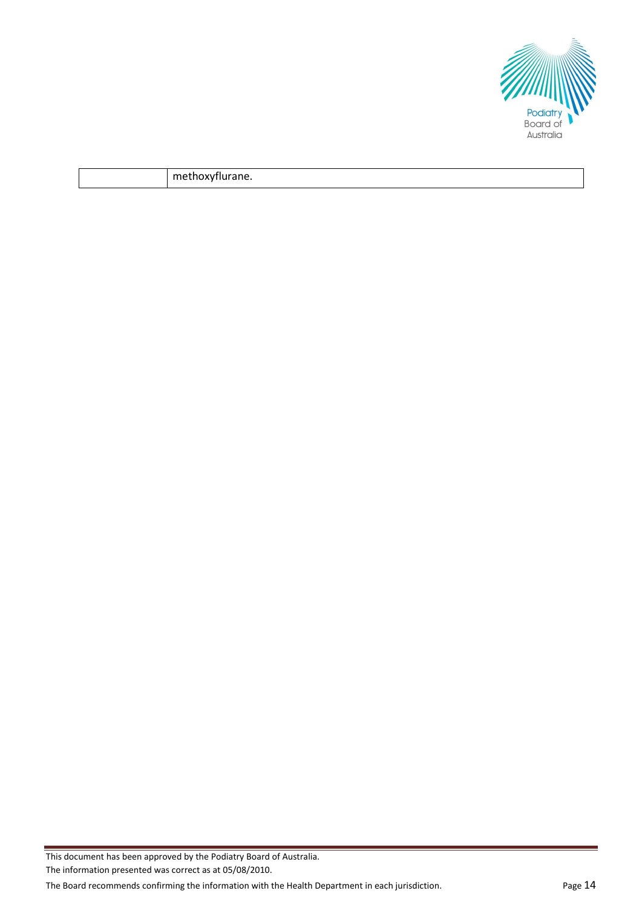

|  | $-$<br>''It. |
|--|--------------|
|--|--------------|

The information presented was correct as at 05/08/2010.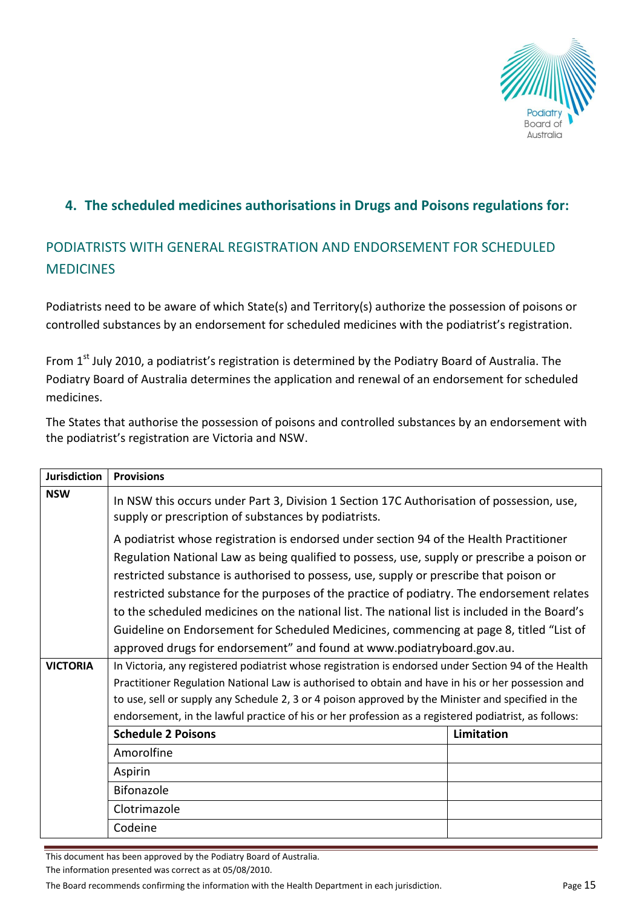

## **4. The scheduled medicines authorisations in Drugs and Poisons regulations for:**

## PODIATRISTS WITH GENERAL REGISTRATION AND ENDORSEMENT FOR SCHEDULED **MEDICINES**

Podiatrists need to be aware of which State(s) and Territory(s) authorize the possession of poisons or controlled substances by an endorsement for scheduled medicines with the podiatrist's registration.

From  $1<sup>st</sup>$  July 2010, a podiatrist's registration is determined by the Podiatry Board of Australia. The Podiatry Board of Australia determines the application and renewal of an endorsement for scheduled medicines.

The States that authorise the possession of poisons and controlled substances by an endorsement with the podiatrist's registration are Victoria and NSW.

| <b>Jurisdiction</b> | <b>Provisions</b>                                                                                                                                                                                                                                                                                                                                                                                                                                                                                                                                                                                                                                    |            |  |  |
|---------------------|------------------------------------------------------------------------------------------------------------------------------------------------------------------------------------------------------------------------------------------------------------------------------------------------------------------------------------------------------------------------------------------------------------------------------------------------------------------------------------------------------------------------------------------------------------------------------------------------------------------------------------------------------|------------|--|--|
| <b>NSW</b>          | In NSW this occurs under Part 3, Division 1 Section 17C Authorisation of possession, use,<br>supply or prescription of substances by podiatrists.                                                                                                                                                                                                                                                                                                                                                                                                                                                                                                    |            |  |  |
|                     | A podiatrist whose registration is endorsed under section 94 of the Health Practitioner<br>Regulation National Law as being qualified to possess, use, supply or prescribe a poison or<br>restricted substance is authorised to possess, use, supply or prescribe that poison or<br>restricted substance for the purposes of the practice of podiatry. The endorsement relates<br>to the scheduled medicines on the national list. The national list is included in the Board's<br>Guideline on Endorsement for Scheduled Medicines, commencing at page 8, titled "List of<br>approved drugs for endorsement" and found at www.podiatryboard.gov.au. |            |  |  |
| <b>VICTORIA</b>     | In Victoria, any registered podiatrist whose registration is endorsed under Section 94 of the Health                                                                                                                                                                                                                                                                                                                                                                                                                                                                                                                                                 |            |  |  |
|                     | Practitioner Regulation National Law is authorised to obtain and have in his or her possession and                                                                                                                                                                                                                                                                                                                                                                                                                                                                                                                                                   |            |  |  |
|                     | to use, sell or supply any Schedule 2, 3 or 4 poison approved by the Minister and specified in the                                                                                                                                                                                                                                                                                                                                                                                                                                                                                                                                                   |            |  |  |
|                     | endorsement, in the lawful practice of his or her profession as a registered podiatrist, as follows:                                                                                                                                                                                                                                                                                                                                                                                                                                                                                                                                                 |            |  |  |
|                     | <b>Schedule 2 Poisons</b>                                                                                                                                                                                                                                                                                                                                                                                                                                                                                                                                                                                                                            | Limitation |  |  |
|                     | Amorolfine                                                                                                                                                                                                                                                                                                                                                                                                                                                                                                                                                                                                                                           |            |  |  |
|                     | Aspirin                                                                                                                                                                                                                                                                                                                                                                                                                                                                                                                                                                                                                                              |            |  |  |
|                     | Bifonazole                                                                                                                                                                                                                                                                                                                                                                                                                                                                                                                                                                                                                                           |            |  |  |
|                     | Clotrimazole                                                                                                                                                                                                                                                                                                                                                                                                                                                                                                                                                                                                                                         |            |  |  |
|                     | Codeine                                                                                                                                                                                                                                                                                                                                                                                                                                                                                                                                                                                                                                              |            |  |  |

This document has been approved by the Podiatry Board of Australia.

The information presented was correct as at 05/08/2010.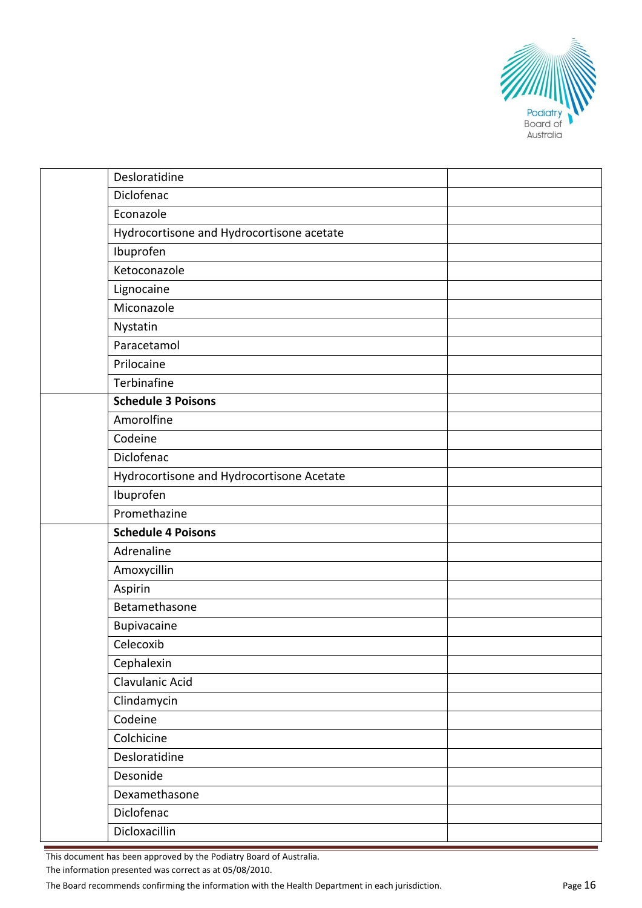

|  | Desloratidine                             |  |
|--|-------------------------------------------|--|
|  | Diclofenac                                |  |
|  | Econazole                                 |  |
|  | Hydrocortisone and Hydrocortisone acetate |  |
|  | Ibuprofen                                 |  |
|  | Ketoconazole                              |  |
|  | Lignocaine                                |  |
|  | Miconazole                                |  |
|  | Nystatin                                  |  |
|  | Paracetamol                               |  |
|  | Prilocaine                                |  |
|  | Terbinafine                               |  |
|  | <b>Schedule 3 Poisons</b>                 |  |
|  | Amorolfine                                |  |
|  | Codeine                                   |  |
|  | Diclofenac                                |  |
|  | Hydrocortisone and Hydrocortisone Acetate |  |
|  | Ibuprofen                                 |  |
|  | Promethazine                              |  |
|  | <b>Schedule 4 Poisons</b>                 |  |
|  | Adrenaline                                |  |
|  | Amoxycillin                               |  |
|  | Aspirin                                   |  |
|  | Betamethasone                             |  |
|  | Bupivacaine                               |  |
|  | Celecoxib                                 |  |
|  | Cephalexin                                |  |
|  | Clavulanic Acid                           |  |
|  | Clindamycin                               |  |
|  | Codeine                                   |  |
|  | Colchicine                                |  |
|  | Desloratidine                             |  |
|  | Desonide                                  |  |
|  | Dexamethasone                             |  |
|  | Diclofenac                                |  |
|  | Dicloxacillin                             |  |

The information presented was correct as at 05/08/2010.